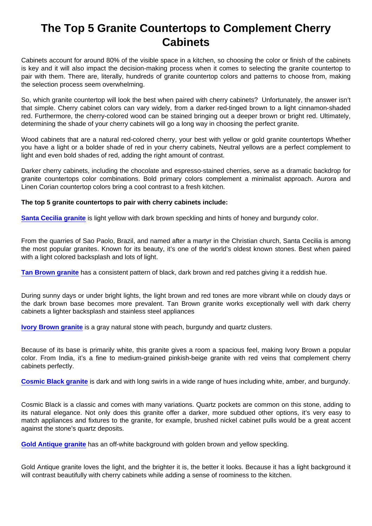## The Top 5 Granite Countertops to Complement Cherry **Cabinets**

Cabinets account for around 80% of the visible space in a kitchen, so choosing the color or finish of the cabinets is key and it will also impact the decision-making process when it comes to selecting the granite countertop to pair with them. There are, literally, hundreds of granite countertop colors and patterns to choose from, making the selection process seem overwhelming.

So, which granite countertop will look the best when paired with cherry cabinets? Unfortunately, the answer isn't that simple. Cherry cabinet colors can vary widely, from a darker red-tinged brown to a light cinnamon-shaded red. Furthermore, the cherry-colored wood can be stained bringing out a deeper brown or bright red. Ultimately, determining the shade of your cherry cabinets will go a long way in choosing the perfect granite.

Wood cabinets that are a natural red-colored cherry, your best with yellow or gold granite countertops Whether you have a light or a bolder shade of red in your cherry cabinets, Neutral yellows are a perfect complement to light and even bold shades of red, adding the right amount of contrast.

Darker cherry cabinets, including the chocolate and espresso-stained cherries, serve as a dramatic backdrop for granite countertops color combinations. Bold primary colors complement a minimalist approach. Aurora and Linen Corian countertop colors bring a cool contrast to a fresh kitchen.

The top 5 granite countertops to pair with cherry cabinets include:

[Santa Cecilia granite](https://marble.com/granite-countertops/santa-cecilia/118) is light yellow with dark brown speckling and hints of honey and burgundy color.

From the quarries of Sao Paolo, Brazil, and named after a martyr in the Christian church, Santa Cecilia is among the most popular granites. Known for its beauty, it's one of the world's oldest known stones. Best when paired with a light colored backsplash and lots of light.

[Tan Brown granite](https://marble.com/granite-countertops/tan-brown/126) has a consistent pattern of black, dark brown and red patches giving it a reddish hue.

During sunny days or under bright lights, the light brown and red tones are more vibrant while on cloudy days or the dark brown base becomes more prevalent. Tan Brown granite works exceptionally well with dark cherry cabinets a lighter backsplash and stainless steel appliances

[Ivory Brown granite](https://marble.com/granite-countertops/ivory-brown/920) is a gray natural stone with peach, burgundy and quartz clusters.

Because of its base is primarily white, this granite gives a room a spacious feel, making Ivory Brown a popular color. From India, it's a fine to medium-grained pinkish-beige granite with red veins that complement cherry cabinets perfectly.

[Cosmic Black granite](https://marble.com/granite-countertops/cosmic-black/499) is dark and with long swirls in a wide range of hues including white, amber, and burgundy.

Cosmic Black is a classic and comes with many variations. Quartz pockets are common on this stone, adding to its natural elegance. Not only does this granite offer a darker, more subdued other options, it's very easy to match appliances and fixtures to the granite, for example, brushed nickel cabinet pulls would be a great accent against the stone's quartz deposits.

[Gold Antique granite](https://marble.com/granite-countertops/gold-antique/545) has an off-white background with golden brown and yellow speckling.

Gold Antique granite loves the light, and the brighter it is, the better it looks. Because it has a light background it will contrast beautifully with cherry cabinets while adding a sense of roominess to the kitchen.